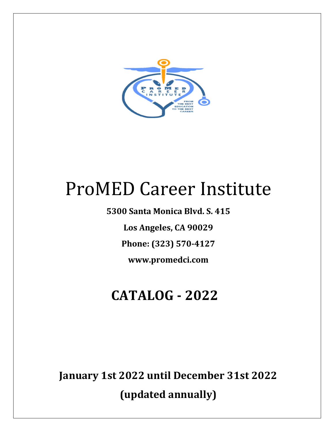

# ProMED Career Institute

**5300 Santa Monica Blvd. S. 415**

Los Angeles, CA 90029

**Phone: (323) 570-4127**

**www.promedci.com**

## **CATALOG - 2022**

**January 1st 2022 until December 31st 2022**

**(updated annually)**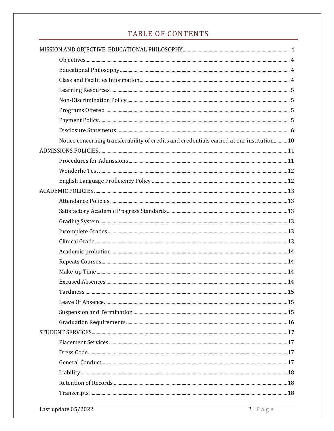### TABLE OF CONTENTS

| Notice concerning transferability of credits and credentials earned at our institution10 |  |
|------------------------------------------------------------------------------------------|--|
|                                                                                          |  |
|                                                                                          |  |
|                                                                                          |  |
|                                                                                          |  |
|                                                                                          |  |
|                                                                                          |  |
|                                                                                          |  |
|                                                                                          |  |
|                                                                                          |  |
|                                                                                          |  |
|                                                                                          |  |
|                                                                                          |  |
|                                                                                          |  |
|                                                                                          |  |
|                                                                                          |  |
|                                                                                          |  |
|                                                                                          |  |
|                                                                                          |  |
|                                                                                          |  |
|                                                                                          |  |
|                                                                                          |  |
|                                                                                          |  |
|                                                                                          |  |
|                                                                                          |  |
|                                                                                          |  |
|                                                                                          |  |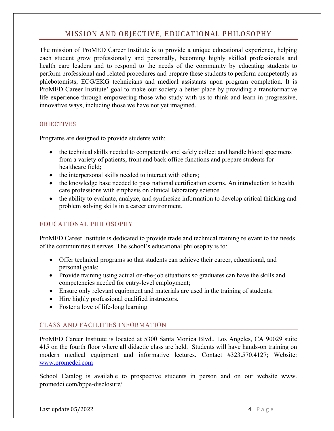### MISSION AND OBJECTIVE, EDUCATIONAL PHILOSOPHY

The mission of ProMED Career Institute is to provide a unique educational experience, helping each student grow professionally and personally, becoming highly skilled professionals and health care leaders and to respond to the needs of the community by educating students to perform professional and related procedures and prepare these students to perform competently as phlebotomists, ECG/EKG technicians and medical assistants upon program completion. It is ProMED Career Institute' goal to make our society a better place by providing a transformative life experience through empowering those who study with us to think and learn in progressive, innovative ways, including those we have not yet imagined.

#### **OBJECTIVES**

Programs are designed to provide students with:

- the technical skills needed to competently and safely collect and handle blood specimens from a variety of patients, front and back office functions and prepare students for healthcare field;
- the interpersonal skills needed to interact with others;
- the knowledge base needed to pass national certification exams. An introduction to health care professions with emphasis on clinical laboratory science.
- the ability to evaluate, analyze, and synthesize information to develop critical thinking and problem solving skills in a career environment.

#### EDUCATIONAL PHILOSOPHY

ProMED Career Institute is dedicated to provide trade and technical training relevant to the needs of the communities it serves. The school's educational philosophy is to:

- Offer technical programs so that students can achieve their career, educational, and personal goals;
- Provide training using actual on-the-job situations so graduates can have the skills and competencies needed for entry-level employment;
- Ensure only relevant equipment and materials are used in the training of students;
- Hire highly professional qualified instructors.
- Foster a love of life-long learning

#### CLASS AND FACILITIES INFORMATION

ProMED Career Institute is located at 5300 Santa Monica Blvd., Los Angeles, CA 90029 suite 415 on the fourth floor where all didactic class are held. Students will have hands-on training on modern medical equipment and informative lectures. Contact #323.570.4127; Website: www.promedci.com

School Catalog is available to prospective students in person and on our website www. promedci.com/bppe-disclosure/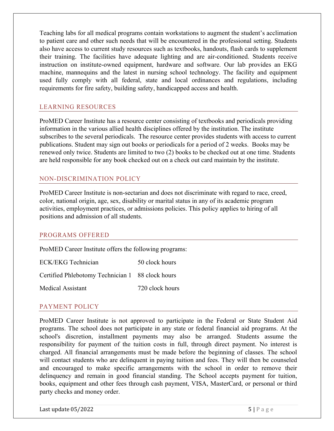Teaching labs for all medical programs contain workstations to augment the student's acclimation to patient care and other such needs that will be encountered in the professional setting. Students also have access to current study resources such as textbooks, handouts, flash cards to supplement their training. The facilities have adequate lighting and are air-conditioned. Students receive instruction on institute-owned equipment, hardware and software. Our lab provides an EKG machine, mannequins and the latest in nursing school technology. The facility and equipment used fully comply with all federal, state and local ordinances and regulations, including requirements for fire safety, building safety, handicapped access and health.

#### LEARNING RESOURCES

ProMED Career Institute has a resource center consisting of textbooks and periodicals providing information in the various allied health disciplines offered by the institution. The institute subscribes to the several periodicals. The resource center provides students with access to current publications. Student may sign out books or periodicals for a period of 2 weeks. Books may be renewed only twice. Students are limited to two (2) books to be checked out at one time. Students are held responsible for any book checked out on a check out card maintain by the institute.

#### NON-DISCRIMINATION POLICY

ProMED Career Institute is non-sectarian and does not discriminate with regard to race, creed, color, national origin, age, sex, disability or marital status in any of its academic program activities, employment practices, or admissions policies. This policy applies to hiring of all positions and admission of all students.

#### PROGRAMS OFFERED

ProMED Career Institute offers the following programs:

| <b>ECK/EKG Technician</b>                        | 50 clock hours  |
|--------------------------------------------------|-----------------|
| Certified Phlebotomy Technician 1 88 clock hours |                 |
| <b>Medical Assistant</b>                         | 720 clock hours |

#### PAYMENT POLICY

ProMED Career Institute is not approved to participate in the Federal or State Student Aid programs. The school does not participate in any state or federal financial aid programs. At the school's discretion, installment payments may also be arranged. Students assume the responsibility for payment of the tuition costs in full, through direct payment. No interest is charged. All financial arrangements must be made before the beginning of classes. The school will contact students who are delinquent in paying tuition and fees. They will then be counseled and encouraged to make specific arrangements with the school in order to remove their delinquency and remain in good financial standing. The School accepts payment for tuition, books, equipment and other fees through cash payment, VISA, MasterCard, or personal or third party checks and money order.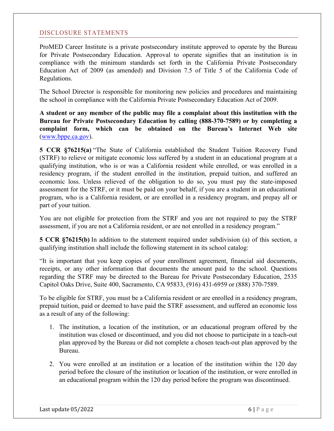#### DISCLOSURE STATEMENTS

ProMED Career Institute is a private postsecondary institute approved to operate by the Bureau for Private Postsecondary Education. Approval to operate signifies that an institution is in compliance with the minimum standards set forth in the California Private Postsecondary Education Act of 2009 (as amended) and Division 7.5 of Title 5 of the California Code of Regulations.

The School Director is responsible for monitoring new policies and procedures and maintaining the school in compliance with the California Private Postsecondary Education Act of 2009.

**A student or any member of the public may file a complaint about this institution with the Bureau for Private Postsecondary Education by calling (888-370-7589) or by completing a complaint form, which can be obtained on the Bureau's Internet Web site** (www.bppe.ca.gov).

**5 CCR §76215(a)** "The State of California established the Student Tuition Recovery Fund (STRF) to relieve or mitigate economic loss suffered by a student in an educational program at a qualifying institution, who is or was a California resident while enrolled, or was enrolled in a residency program, if the student enrolled in the institution, prepaid tuition, and suffered an economic loss. Unless relieved of the obligation to do so, you must pay the state-imposed assessment for the STRF, or it must be paid on your behalf, if you are a student in an educational program, who is a California resident, or are enrolled in a residency program, and prepay all or part of your tuition.

You are not eligible for protection from the STRF and you are not required to pay the STRF assessment, if you are not a California resident, or are not enrolled in a residency program."

**5 CCR §76215(b)** In addition to the statement required under subdivision (a) of this section, a qualifying institution shall include the following statement in its school catalog:

"It is important that you keep copies of your enrollment agreement, financial aid documents, receipts, or any other information that documents the amount paid to the school. Questions regarding the STRF may be directed to the Bureau for Private Postsecondary Education, 2535 Capitol Oaks Drive, Suite 400, Sacramento, CA 95833, (916) 431-6959 or (888) 370-7589.

To be eligible for STRF, you must be a California resident or are enrolled in a residency program, prepaid tuition, paid or deemed to have paid the STRF assessment, and suffered an economic loss as a result of any of the following:

- 1. The institution, a location of the institution, or an educational program offered by the institution was closed or discontinued, and you did not choose to participate in a teach-out plan approved by the Bureau or did not complete a chosen teach-out plan approved by the Bureau.
- 2. You were enrolled at an institution or a location of the institution within the 120 day period before the closure of the institution or location of the institution, or were enrolled in an educational program within the 120 day period before the program was discontinued.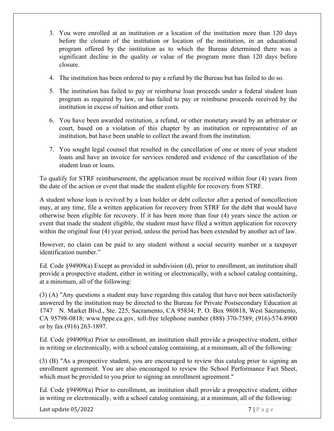- 3. You were enrolled at an institution or a location of the institution more than 120 days before the closure of the institution or location of the institution, in an educational program offered by the institution as to which the Bureau determined there was a significant decline in the quality or value of the program more than 120 days before closure.
- 4. The institution has been ordered to pay a refund by the Bureau but has failed to do so.
- 5. The institution has failed to pay or reimburse loan proceeds under a federal student loan program as required by law, or has failed to pay or reimburse proceeds received by the institution in excess of tuition and other costs.
- 6. You have been awarded restitution, a refund, or other monetary award by an arbitrator or court, based on a violation of this chapter by an institution or representative of an institution, but have been unable to collect the award from the institution.
- 7. You sought legal counsel that resulted in the cancellation of one or more of your student loans and have an invoice for services rendered and evidence of the cancellation of the student loan or loans.

To qualify for STRF reimbursement, the application must be received within four (4) years from the date of the action or event that made the student eligible for recovery from STRF.

A student whose loan is revived by a loan holder or debt collector after a period of noncollection may, at any time, file a written application for recovery from STRF for the debt that would have otherwise been eligible for recovery. If it has been more than four (4) years since the action or event that made the student eligible, the student must have filed a written application for recovery within the original four (4) year period, unless the period has been extended by another act of law.

However, no claim can be paid to any student without a social security number or a taxpayer identification number."

Ed. Code §94909(a) Except as provided in subdivision (d), prior to enrollment, an institution shall provide a prospective student, either in writing or electronically, with a school catalog containing, at a minimum, all of the following:

(3) (A) "Any questions a student may have regarding this catalog that have not been satisfactorily answered by the institution may be directed to the Bureau for Private Postsecondary Education at 1747 N. Market Blvd., Ste. 225, Sacramento, CA 95834; P. O. Box 980818, West Sacramento, CA 95798-0818; www.bppe.ca.gov, toll-free telephone number (888) 370-7589; (916)-574-8900 or by fax (916) 263-1897.

Ed. Code §94909(a) Prior to enrollment, an institution shall provide a prospective student, either in writing or electronically, with a school catalog containing, at a minimum, all of the following:

(3) (B) "As a prospective student, you are encouraged to review this catalog prior to signing an enrollment agreement. You are also encouraged to review the School Performance Fact Sheet, which must be provided to you prior to signing an enrollment agreement."

Ed. Code §94909(a) Prior to enrollment, an institution shall provide a prospective student, either in writing or electronically, with a school catalog containing, at a minimum, all of the following: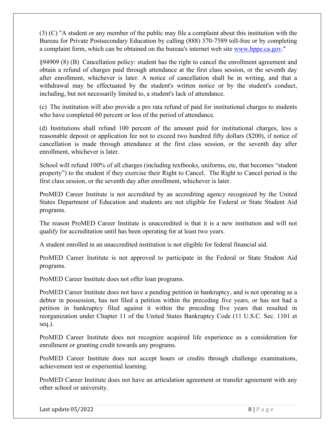(3) (C) "A student or any member of the public may file a complaint about this institution with the Bureau for Private Postsecondary Education by calling (888) 370-7589 toll-free or by completing a complaint form, which can be obtained on the bureau's internet web site www.bppe.ca.gov."

§94909 (8) (B) Cancellation policy: student has the right to cancel the enrollment agreement and obtain a refund of charges paid through attendance at the first class session, or the seventh day after enrollment, whichever is later. A notice of cancellation shall be in writing, and that a withdrawal may be effectuated by the student's written notice or by the student's conduct, including, but not necessarily limited to, a student's lack of attendance.

(c) The institution will also provide a pro rata refund of paid for institutional charges to students who have completed 60 percent or less of the period of attendance.

(d) Institutions shall refund 100 percent of the amount paid for institutional charges, less a reasonable deposit or application fee not to exceed two hundred fifty dollars (\$200), if notice of cancellation is made through attendance at the first class session, or the seventh day after enrollment, whichever is later.

School will refund 100% of all charges (including textbooks, uniforms, etc, that becomes "student property") to the student if they exercise their Right to Cancel. The Right to Cancel period is the first class session, or the seventh day after enrollment, whichever is later.

ProMED Career Institute is not accredited by an accrediting agency recognized by the United States Department of Education and students are not eligible for Federal or State Student Aid programs.

The reason ProMED Career Institute is unaccredited is that it is a new institution and will not qualify for accreditation until has been operating for at least two years.

A student enrolled in an unaccredited institution is not eligible for federal financial aid.

ProMED Career Institute is not approved to participate in the Federal or State Student Aid programs.

ProMED Career Institute does not offer loan programs.

ProMED Career Institute does not have a pending petition in bankruptcy, and is not operating as a debtor in possession, has not filed a petition within the preceding five years, or has not had a petition in bankruptcy filed against it within the preceding five years that resulted in reorganization under Chapter 11 of the United States Bankruptcy Code (11 U.S.C. Sec. 1101 et seq.).

ProMED Career Institute does not recognize acquired life experience as a consideration for enrollment or granting credit towards any programs.

ProMED Career Institute does not accept hours or credits through challenge examinations, achievement test or experiential learning.

ProMED Career Institute does not have an articulation agreement or transfer agreement with any other school or university.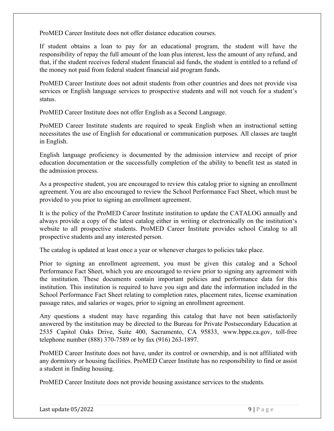ProMED Career Institute does not offer distance education courses.

If student obtains a loan to pay for an educational program, the student will have the responsibility of repay the full amount of the loan plus interest, less the amount of any refund, and that, if the student receives federal student financial aid funds, the student is entitled to a refund of the money not paid from federal student financial aid program funds.

ProMED Career Institute does not admit students from other countries and does not provide visa services or English language services to prospective students and will not vouch for a student's status.

ProMED Career Institute does not offer English as a Second Language.

ProMED Career Institute students are required to speak English when an instructional setting necessitates the use of English for educational or communication purposes. All classes are taught in English.

English language proficiency is documented by the admission interview and receipt of prior education documentation or the successfully completion of the ability to benefit test as stated in the admission process.

As a prospective student, you are encouraged to review this catalog prior to signing an enrollment agreement. You are also encouraged to review the School Performance Fact Sheet, which must be provided to you prior to signing an enrollment agreement.

It is the policy of the ProMED Career Institute institution to update the CATALOG annually and always provide a copy of the latest catalog either in writing or electronically on the institution's website to all prospective students. ProMED Career Institute provides school Catalog to all prospective students and any interested person.

The catalog is updated at least once a year or whenever charges to policies take place.

Prior to signing an enrollment agreement, you must be given this catalog and a School Performance Fact Sheet, which you are encouraged to review prior to signing any agreement with the institution. These documents contain important policies and performance data for this institution. This institution is required to have you sign and date the information included in the School Performance Fact Sheet relating to completion rates, placement rates, license examination passage rates, and salaries or wages, prior to signing an enrollment agreement.

Any questions a student may have regarding this catalog that have not been satisfactorily answered by the institution may be directed to the Bureau for Private Postsecondary Education at 2535 Capitol Oaks Drive, Suite 400, Sacramento, CA 95833, www.bppe.ca.gov, toll-free telephone number (888) 370-7589 or by fax (916) 263-1897.

ProMED Career Institute does not have, under its control or ownership, and is not affiliated with any dormitory or housing facilities. ProMED Career Institute has no responsibility to find or assist a student in finding housing.

ProMED Career Institute does not provide housing assistance services to the students.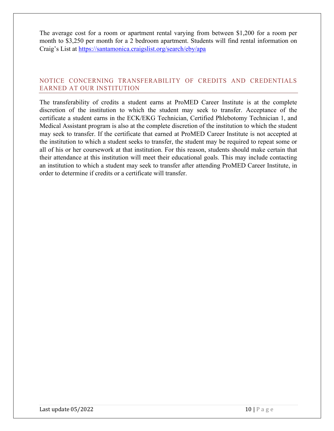The average cost for a room or apartment rental varying from between \$1,200 for a room per month to \$3,250 per month for a 2 bedroom apartment. Students will find rental information on Craig's List at https://santamonica.craigslist.org/search/eby/apa

#### NOTICE CONCERNING TRANSFERABILITY OF CREDITS AND CREDENTIALS EARNED AT OUR INSTITUTION

The transferability of credits a student earns at ProMED Career Institute is at the complete discretion of the institution to which the student may seek to transfer. Acceptance of the certificate a student earns in the ECK/EKG Technician, Certified Phlebotomy Technician 1, and Medical Assistant program is also at the complete discretion of the institution to which the student may seek to transfer. If the certificate that earned at ProMED Career Institute is not accepted at the institution to which a student seeks to transfer, the student may be required to repeat some or all of his or her coursework at that institution. For this reason, students should make certain that their attendance at this institution will meet their educational goals. This may include contacting an institution to which a student may seek to transfer after attending ProMED Career Institute, in order to determine if credits or a certificate will transfer.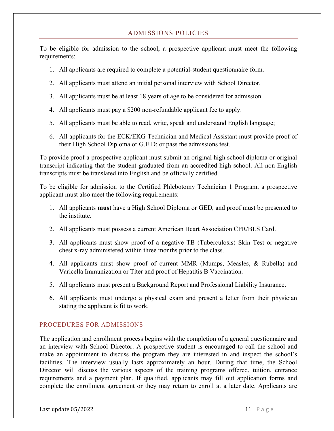#### ADMISSIONS POLICIES

To be eligible for admission to the school, a prospective applicant must meet the following requirements:

- 1. All applicants are required to complete a potential-student questionnaire form.
- 2. All applicants must attend an initial personal interview with School Director.
- 3. All applicants must be at least 18 years of age to be considered for admission.
- 4. All applicants must pay a \$200 non-refundable applicant fee to apply.
- 5. All applicants must be able to read, write, speak and understand English language;
- 6. All applicants for the ECK/EKG Technician and Medical Assistant must provide proof of their High School Diploma or G.E.D; or pass the admissions test.

To provide proof a prospective applicant must submit an original high school diploma or original transcript indicating that the student graduated from an accredited high school. All non-English transcripts must be translated into English and be officially certified.

To be eligible for admission to the Certified Phlebotomy Technician 1 Program, a prospective applicant must also meet the following requirements:

- 1. All applicants **must** have a High School Diploma or GED, and proof must be presented to the institute.
- 2. All applicants must possess a current American Heart Association CPR/BLS Card.
- 3. All applicants must show proof of a negative TB (Tuberculosis) Skin Test or negative chest x-ray administered within three months prior to the class.
- 4. All applicants must show proof of current MMR (Mumps, Measles, & Rubella) and Varicella Immunization or Titer and proof of Hepatitis B Vaccination.
- 5. All applicants must present a Background Report and Professional Liability Insurance.
- 6. All applicants must undergo a physical exam and present a letter from their physician stating the applicant is fit to work.

#### PROCEDURES FOR ADMISSIONS

The application and enrollment process begins with the completion of a general questionnaire and an interview with School Director. A prospective student is encouraged to call the school and make an appointment to discuss the program they are interested in and inspect the school's facilities. The interview usually lasts approximately an hour. During that time, the School Director will discuss the various aspects of the training programs offered, tuition, entrance requirements and a payment plan. If qualified, applicants may fill out application forms and complete the enrollment agreement or they may return to enroll at a later date. Applicants are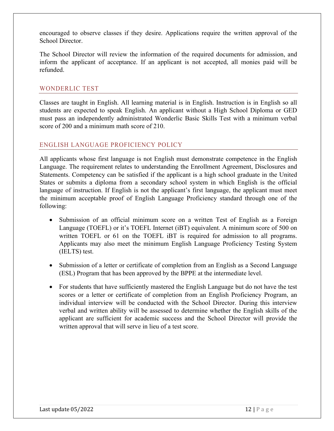encouraged to observe classes if they desire. Applications require the written approval of the School Director.

The School Director will review the information of the required documents for admission, and inform the applicant of acceptance. If an applicant is not accepted, all monies paid will be refunded.

#### WONDERLIC TEST

Classes are taught in English. All learning material is in English. Instruction is in English so all students are expected to speak English. An applicant without a High School Diploma or GED must pass an independently administrated Wonderlic Basic Skills Test with a minimum verbal score of 200 and a minimum math score of 210.

#### ENGLISH LANGUAGE PROFICIENCY POLICY

All applicants whose first language is not English must demonstrate competence in the English Language. The requirement relates to understanding the Enrollment Agreement, Disclosures and Statements. Competency can be satisfied if the applicant is a high school graduate in the United States or submits a diploma from a secondary school system in which English is the official language of instruction. If English is not the applicant's first language, the applicant must meet the minimum acceptable proof of English Language Proficiency standard through one of the following:

- Submission of an official minimum score on a written Test of English as a Foreign Language (TOEFL) or it's TOEFL Internet (iBT) equivalent. A minimum score of 500 on written TOEFL or 61 on the TOEFL iBT is required for admission to all programs. Applicants may also meet the minimum English Language Proficiency Testing System (IELTS) test.
- Submission of a letter or certificate of completion from an English as a Second Language (ESL) Program that has been approved by the BPPE at the intermediate level.
- For students that have sufficiently mastered the English Language but do not have the test scores or a letter or certificate of completion from an English Proficiency Program, an individual interview will be conducted with the School Director. During this interview verbal and written ability will be assessed to determine whether the English skills of the applicant are sufficient for academic success and the School Director will provide the written approval that will serve in lieu of a test score.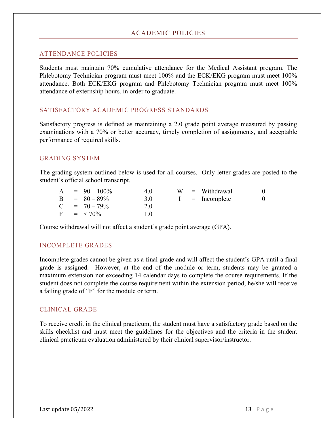#### ACADEMIC POLICIES

#### ATTENDANCE POLICIES

Students must maintain 70% cumulative attendance for the Medical Assistant program. The Phlebotomy Technician program must meet 100% and the ECK/EKG program must meet 100% attendance. Both ECK/EKG program and Phlebotomy Technician program must meet 100% attendance of externship hours, in order to graduate.

#### SATISFACTORY ACADEMIC PROGRESS STANDARDS

Satisfactory progress is defined as maintaining a 2.0 grade point average measured by passing examinations with a 70% or better accuracy, timely completion of assignments, and acceptable performance of required skills.

#### GRADING SYSTEM

The grading system outlined below is used for all courses. Only letter grades are posted to the student's official school transcript.

|  | $A = 90 - 100\%$ | 4.0 |  | $W =$ Withdrawal | $\theta$ |
|--|------------------|-----|--|------------------|----------|
|  | $B = 80 - 89\%$  | 3.0 |  | $I = Incomplete$ | $\Omega$ |
|  | $C = 70 - 79\%$  | 2.0 |  |                  |          |
|  | $F = < 70\%$     | 1.0 |  |                  |          |

Course withdrawal will not affect a student's grade point average (GPA).

#### INCOMPLETE GRADES

Incomplete grades cannot be given as a final grade and will affect the student's GPA until a final grade is assigned. However, at the end of the module or term, students may be granted a maximum extension not exceeding 14 calendar days to complete the course requirements. If the student does not complete the course requirement within the extension period, he/she will receive a failing grade of "F" for the module or term.

#### CLINICAL GRADE

To receive credit in the clinical practicum, the student must have a satisfactory grade based on the skills checklist and must meet the guidelines for the objectives and the criteria in the student clinical practicum evaluation administered by their clinical supervisor/instructor.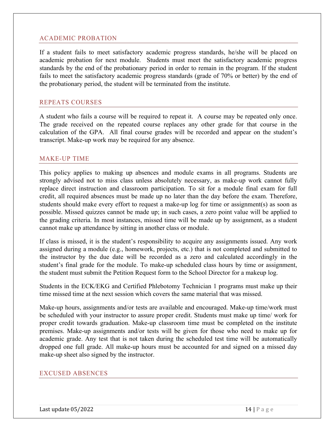#### ACADEMIC PROBATION

If a student fails to meet satisfactory academic progress standards, he/she will be placed on academic probation for next module. Students must meet the satisfactory academic progress standards by the end of the probationary period in order to remain in the program. If the student fails to meet the satisfactory academic progress standards (grade of 70% or better) by the end of the probationary period, the student will be terminated from the institute.

#### REPEATS COURSES

A student who fails a course will be required to repeat it. A course may be repeated only once. The grade received on the repeated course replaces any other grade for that course in the calculation of the GPA. All final course grades will be recorded and appear on the student's transcript. Make-up work may be required for any absence.

#### MAKE-UP TIME

This policy applies to making up absences and module exams in all programs. Students are strongly advised not to miss class unless absolutely necessary, as make-up work cannot fully replace direct instruction and classroom participation. To sit for a module final exam for full credit, all required absences must be made up no later than the day before the exam. Therefore, students should make every effort to request a make-up log for time or assignment(s) as soon as possible. Missed quizzes cannot be made up; in such cases, a zero point value will be applied to the grading criteria. In most instances, missed time will be made up by assignment, as a student cannot make up attendance by sitting in another class or module.

If class is missed, it is the student's responsibility to acquire any assignments issued. Any work assigned during a module (e.g., homework, projects, etc.) that is not completed and submitted to the instructor by the due date will be recorded as a zero and calculated accordingly in the student's final grade for the module. To make-up scheduled class hours by time or assignment, the student must submit the Petition Request form to the School Director for a makeup log.

Students in the ECK/EKG and Certified Phlebotomy Technician 1 programs must make up their time missed time at the next session which covers the same material that was missed.

Make-up hours, assignments and/or tests are available and encouraged. Make-up time/work must be scheduled with your instructor to assure proper credit. Students must make up time/ work for proper credit towards graduation. Make-up classroom time must be completed on the institute premises. Make-up assignments and/or tests will be given for those who need to make up for academic grade. Any test that is not taken during the scheduled test time will be automatically dropped one full grade. All make-up hours must be accounted for and signed on a missed day make-up sheet also signed by the instructor.

#### EXCUSED ABSENCES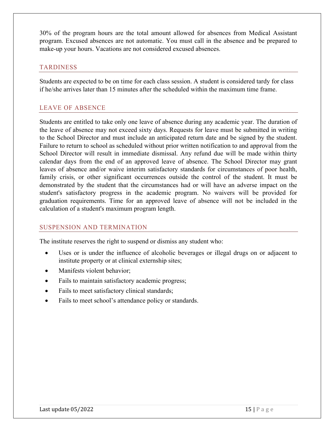30% of the program hours are the total amount allowed for absences from Medical Assistant program. Excused absences are not automatic. You must call in the absence and be prepared to make-up your hours. Vacations are not considered excused absences.

#### TARDINESS

Students are expected to be on time for each class session. A student is considered tardy for class if he/she arrives later than 15 minutes after the scheduled within the maximum time frame.

#### LEAVE OF ABSENCE

Students are entitled to take only one leave of absence during any academic year. The duration of the leave of absence may not exceed sixty days. Requests for leave must be submitted in writing to the School Director and must include an anticipated return date and be signed by the student. Failure to return to school as scheduled without prior written notification to and approval from the School Director will result in immediate dismissal. Any refund due will be made within thirty calendar days from the end of an approved leave of absence. The School Director may grant leaves of absence and/or waive interim satisfactory standards for circumstances of poor health, family crisis, or other significant occurrences outside the control of the student. It must be demonstrated by the student that the circumstances had or will have an adverse impact on the student's satisfactory progress in the academic program. No waivers will be provided for graduation requirements. Time for an approved leave of absence will not be included in the calculation of a student's maximum program length.

#### SUSPENSION AND TERMINATION

The institute reserves the right to suspend or dismiss any student who:

- Uses or is under the influence of alcoholic beverages or illegal drugs on or adjacent to institute property or at clinical externship sites;
- Manifests violent behavior;
- Fails to maintain satisfactory academic progress;
- Fails to meet satisfactory clinical standards;
- Fails to meet school's attendance policy or standards.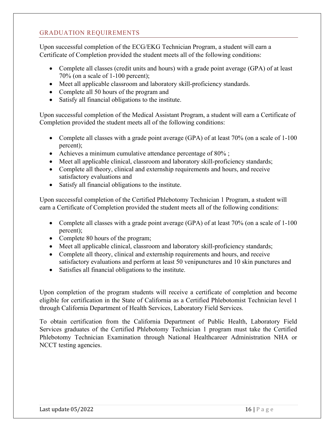#### GRADUATION REQUIREMENTS

Upon successful completion of the ECG/EKG Technician Program, a student will earn a Certificate of Completion provided the student meets all of the following conditions:

- Complete all classes (credit units and hours) with a grade point average (GPA) of at least 70% (on a scale of 1-100 percent);
- Meet all applicable classroom and laboratory skill-proficiency standards.
- Complete all 50 hours of the program and
- Satisfy all financial obligations to the institute.

Upon successful completion of the Medical Assistant Program, a student will earn a Certificate of Completion provided the student meets all of the following conditions:

- Complete all classes with a grade point average (GPA) of at least 70% (on a scale of 1-100 percent);
- Achieves a minimum cumulative attendance percentage of 80%;
- Meet all applicable clinical, classroom and laboratory skill-proficiency standards;
- Complete all theory, clinical and externship requirements and hours, and receive satisfactory evaluations and
- Satisfy all financial obligations to the institute.

Upon successful completion of the Certified Phlebotomy Technician 1 Program, a student will earn a Certificate of Completion provided the student meets all of the following conditions:

- Complete all classes with a grade point average (GPA) of at least 70% (on a scale of 1-100 percent);
- Complete 80 hours of the program;
- Meet all applicable clinical, classroom and laboratory skill-proficiency standards;
- Complete all theory, clinical and externship requirements and hours, and receive satisfactory evaluations and perform at least 50 venipunctures and 10 skin punctures and
- Satisfies all financial obligations to the institute.

Upon completion of the program students will receive a certificate of completion and become eligible for certification in the State of California as a Certified Phlebotomist Technician level 1 through California Department of Health Services, Laboratory Field Services.

To obtain certification from the California Department of Public Health, Laboratory Field Services graduates of the Certified Phlebotomy Technician 1 program must take the Certified Phlebotomy Technician Examination through National Healthcareer Administration NHA or NCCT testing agencies.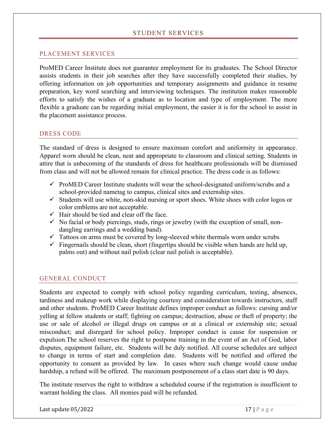#### PLACEMENT SERVICES

ProMED Career Institute does not guarantee employment for its graduates. The School Director assists students in their job searches after they have successfully completed their studies, by offering information on job opportunities and temporary assignments and guidance in resume preparation, key word searching and interviewing techniques. The institution makes reasonable efforts to satisfy the wishes of a graduate as to location and type of employment. The more flexible a graduate can be regarding initial employment, the easier it is for the school to assist in the placement assistance process.

#### DRESS CODE

The standard of dress is designed to ensure maximum comfort and uniformity in appearance. Apparel worn should be clean, neat and appropriate to classroom and clinical setting. Students in attire that is unbecoming of the standards of dress for healthcare professionals will be dismissed from class and will not be allowed remain for clinical practice. The dress code is as follows:

- $\checkmark$  ProMED Career Institute students will wear the school-designated uniform/scrubs and a school-provided nametag to campus, clinical sites and externship sites.
- $\checkmark$  Students will use white, non-skid nursing or sport shoes. White shoes with color logos or color emblems are not acceptable.
- $\checkmark$  Hair should be tied and clear off the face.
- $\checkmark$  No facial or body piercings, studs, rings or jewelry (with the exception of small, nondangling earrings and a wedding band).
- $\checkmark$  Tattoos on arms must be covered by long-sleeved white thermals worn under scrubs
- $\checkmark$  Fingernails should be clean, short (fingertips should be visible when hands are held up, palms out) and without nail polish (clear nail polish is acceptable).

#### GENERAL CONDUCT

Students are expected to comply with school policy regarding curriculum, testing, absences, tardiness and makeup work while displaying courtesy and consideration towards instructors, staff and other students. ProMED Career Institute defines improper conduct as follows: cursing and/or yelling at fellow students or staff; fighting on campus; destruction, abuse or theft of property; the use or sale of alcohol or illegal drugs on campus or at a clinical or externship site; sexual misconduct; and disregard for school policy. Improper conduct is cause for suspension or expulsion.The school reserves the right to postpone training in the event of an Act of God, labor disputes, equipment failure, etc. Students will be duly notified. All course schedules are subject to change in terms of start and completion date. Students will be notified and offered the opportunity to consent as provided by law. In cases where such change would cause undue hardship, a refund will be offered. The maximum postponement of a class start date is 90 days.

The institute reserves the right to withdraw a scheduled course if the registration is insufficient to warrant holding the class. All monies paid will be refunded.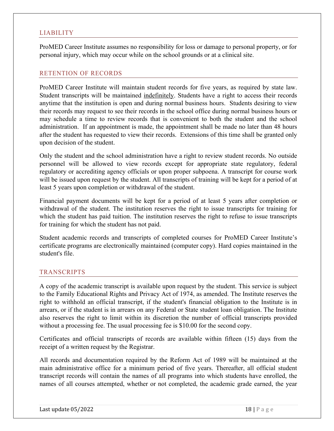#### LIABILITY

ProMED Career Institute assumes no responsibility for loss or damage to personal property, or for personal injury, which may occur while on the school grounds or at a clinical site.

#### RETENTION OF RECORDS

ProMED Career Institute will maintain student records for five years, as required by state law. Student transcripts will be maintained indefinitely. Students have a right to access their records anytime that the institution is open and during normal business hours. Students desiring to view their records may request to see their records in the school office during normal business hours or may schedule a time to review records that is convenient to both the student and the school administration. If an appointment is made, the appointment shall be made no later than 48 hours after the student has requested to view their records. Extensions of this time shall be granted only upon decision of the student.

Only the student and the school administration have a right to review student records. No outside personnel will be allowed to view records except for appropriate state regulatory, federal regulatory or accrediting agency officials or upon proper subpoena. A transcript for course work will be issued upon request by the student. All transcripts of training will be kept for a period of at least 5 years upon completion or withdrawal of the student.

Financial payment documents will be kept for a period of at least 5 years after completion or withdrawal of the student. The institution reserves the right to issue transcripts for training for which the student has paid tuition. The institution reserves the right to refuse to issue transcripts for training for which the student has not paid.

Student academic records and transcripts of completed courses for ProMED Career Institute's certificate programs are electronically maintained (computer copy). Hard copies maintained in the student's file.

#### TRANSCRIPTS

A copy of the academic transcript is available upon request by the student. This service is subject to the Family Educational Rights and Privacy Act of 1974, as amended. The Institute reserves the right to withhold an official transcript, if the student's financial obligation to the Institute is in arrears, or if the student is in arrears on any Federal or State student loan obligation. The Institute also reserves the right to limit within its discretion the number of official transcripts provided without a processing fee. The usual processing fee is \$10.00 for the second copy.

Certificates and official transcripts of records are available within fifteen (15) days from the receipt of a written request by the Registrar.

All records and documentation required by the Reform Act of 1989 will be maintained at the main administrative office for a minimum period of five years. Thereafter, all official student transcript records will contain the names of all programs into which students have enrolled, the names of all courses attempted, whether or not completed, the academic grade earned, the year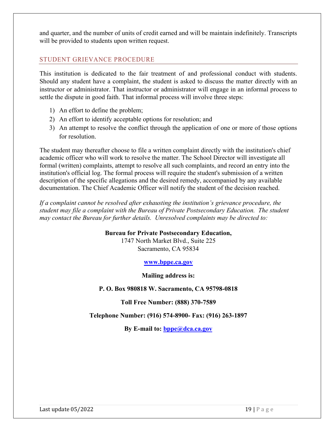and quarter, and the number of units of credit earned and will be maintain indefinitely. Transcripts will be provided to students upon written request.

#### STUDENT GRIEVANCE PROCEDURE

This institution is dedicated to the fair treatment of and professional conduct with students. Should any student have a complaint, the student is asked to discuss the matter directly with an instructor or administrator. That instructor or administrator will engage in an informal process to settle the dispute in good faith. That informal process will involve three steps:

- 1) An effort to define the problem;
- 2) An effort to identify acceptable options for resolution; and
- 3) An attempt to resolve the conflict through the application of one or more of those options for resolution.

The student may thereafter choose to file a written complaint directly with the institution's chief academic officer who will work to resolve the matter. The School Director will investigate all formal (written) complaints, attempt to resolve all such complaints, and record an entry into the institution's official log. The formal process will require the student's submission of a written description of the specific allegations and the desired remedy, accompanied by any available documentation. The Chief Academic Officer will notify the student of the decision reached.

*If a complaint cannot be resolved after exhausting the institution's grievance procedure, the student may file a complaint with the Bureau of Private Postsecondary Education. The student may contact the Bureau for further details. Unresolved complaints may be directed to:* 

#### **Bureau for Private Postsecondary Education,**

1747 North Market Blvd., Suite 225 Sacramento, CA 95834

#### **www.bppe.ca.gov**

**Mailing address is:**

**P. O. Box 980818 W. Sacramento, CA 95798-0818**

**Toll Free Number: (888) 370-7589**

**Telephone Number: (916) 574-8900- Fax: (916) 263-1897**

By E-mail to: **bppe@dca.ca.gov**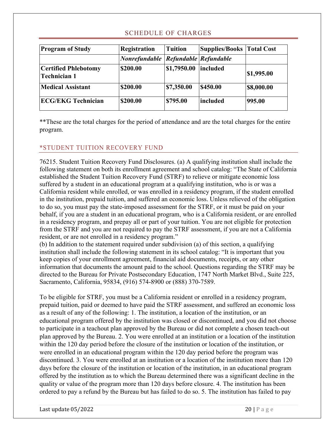#### SCHEDULE OF CHARGES

| <b>Program of Study</b>                            | <b>Registration</b>                     | <b>Tuition</b> | <b>Supplies/Books   Total Cost</b> |            |
|----------------------------------------------------|-----------------------------------------|----------------|------------------------------------|------------|
|                                                    | Nonrefundable   Refundable   Refundable |                |                                    |            |
| <b>Certified Phlebotomy</b><br><b>Technician 1</b> | \$200.00                                | \$1,7950.00    | included                           | \$1,995.00 |
| <b>Medical Assistant</b>                           | \$200.00                                | \$7,350.00     | <b>S450.00</b>                     | \$8,000.00 |
| <b>ECG/EKG Technician</b>                          | \$200.00                                | \$795.00       | <b>lincluded</b>                   | 995.00     |

\*\*These are the total charges for the period of attendance and are the total charges for the entire program.

#### \*STUDENT TUITION RECOVERY FUND

76215. Student Tuition Recovery Fund Disclosures. (a) A qualifying institution shall include the following statement on both its enrollment agreement and school catalog: "The State of California established the Student Tuition Recovery Fund (STRF) to relieve or mitigate economic loss suffered by a student in an educational program at a qualifying institution, who is or was a California resident while enrolled, or was enrolled in a residency program, if the student enrolled in the institution, prepaid tuition, and suffered an economic loss. Unless relieved of the obligation to do so, you must pay the state-imposed assessment for the STRF, or it must be paid on your behalf, if you are a student in an educational program, who is a California resident, or are enrolled in a residency program, and prepay all or part of your tuition. You are not eligible for protection from the STRF and you are not required to pay the STRF assessment, if you are not a California resident, or are not enrolled in a residency program."

(b) In addition to the statement required under subdivision (a) of this section, a qualifying institution shall include the following statement in its school catalog: "It is important that you keep copies of your enrollment agreement, financial aid documents, receipts, or any other information that documents the amount paid to the school. Questions regarding the STRF may be directed to the Bureau for Private Postsecondary Education, 1747 North Market Blvd., Suite 225, Sacramento, California, 95834, (916) 574-8900 or (888) 370-7589.

To be eligible for STRF, you must be a California resident or enrolled in a residency program, prepaid tuition, paid or deemed to have paid the STRF assessment, and suffered an economic loss as a result of any of the following: 1. The institution, a location of the institution, or an educational program offered by the institution was closed or discontinued, and you did not choose to participate in a teachout plan approved by the Bureau or did not complete a chosen teach-out plan approved by the Bureau. 2. You were enrolled at an institution or a location of the institution within the 120 day period before the closure of the institution or location of the institution, or were enrolled in an educational program within the 120 day period before the program was discontinued. 3. You were enrolled at an institution or a location of the institution more than 120 days before the closure of the institution or location of the institution, in an educational program offered by the institution as to which the Bureau determined there was a significant decline in the quality or value of the program more than 120 days before closure. 4. The institution has been ordered to pay a refund by the Bureau but has failed to do so. 5. The institution has failed to pay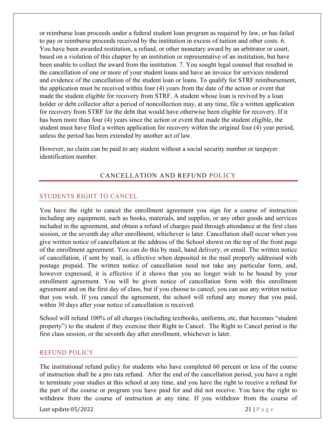or reimburse loan proceeds under a federal student loan program as required by law, or has failed to pay or reimburse proceeds received by the institution in excess of tuition and other costs. 6. You have been awarded restitution, a refund, or other monetary award by an arbitrator or court, based on a violation of this chapter by an institution or representative of an institution, but have been unable to collect the award from the institution. 7. You sought legal counsel that resulted in the cancellation of one or more of your student loans and have an invoice for services rendered and evidence of the cancellation of the student loan or loans. To qualify for STRF reimbursement, the application must be received within four (4) years from the date of the action or event that made the student eligible for recovery from STRF. A student whose loan is revived by a loan holder or debt collector after a period of noncollection may, at any time, file a written application for recovery from STRF for the debt that would have otherwise been eligible for recovery. If it has been more than four (4) years since the action or event that made the student eligible, the student must have filed a written application for recovery within the original four (4) year period, unless the period has been extended by another act of law.

However, no claim can be paid to any student without a social security number or taxpayer identification number.

#### CANCELLATION AND REFUND POLICY

#### STUDENTS RIGHT TO CANCEL

You have the right to cancel the enrollment agreement you sign for a course of instruction including any equipment, such as books, materials, and supplies, or any other goods and services included in the agreement, and obtain a refund of charges paid through attendance at the first class session, or the seventh day after enrollment, whichever is later. Cancellation shall occur when you give written notice of cancellation at the address of the School shown on the top of the front page of the enrollment agreement. You can do this by mail, hand delivery, or email. The written notice of cancellation, if sent by mail, is effective when deposited in the mail properly addressed with postage prepaid. The written notice of cancellation need not take any particular form, and, however expressed, it is effective if it shows that you no longer wish to be bound by your enrollment agreement. You will be given notice of cancellation form with this enrollment agreement and on the first day of class, but if you choose to cancel, you can use any written notice that you wish. If you cancel the agreement, the school will refund any money that you paid, within 30 days after your notice of cancellation is received.

School will refund 100% of all charges (including textbooks, uniforms, etc, that becomes "student property") to the student if they exercise their Right to Cancel. The Right to Cancel period is the first class session, or the seventh day after enrollment, whichever is later.

#### REFUND POLICY

The institutional refund policy for students who have completed 60 percent or less of the course of instruction shall be a pro rata refund. After the end of the cancellation period, you have a right to terminate your studies at this school at any time, and you have the right to receive a refund for the part of the course or program you have paid for and did not receive. You have the right to withdraw from the course of instruction at any time. If you withdraw from the course of

Last update  $05/2022$  21 | P a g e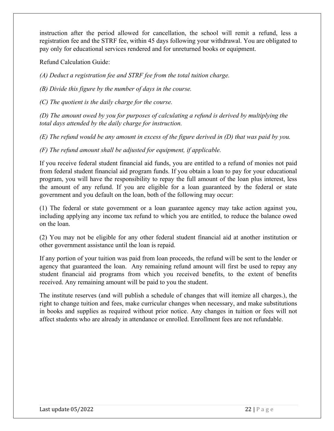instruction after the period allowed for cancellation, the school will remit a refund, less a registration fee and the STRF fee, within 45 days following your withdrawal. You are obligated to pay only for educational services rendered and for unreturned books or equipment.

Refund Calculation Guide:

*(A) Deduct a registration fee and STRF fee from the total tuition charge.* 

*(B) Divide this figure by the number of days in the course.* 

*(C) The quotient is the daily charge for the course.* 

*(D) The amount owed by you for purposes of calculating a refund is derived by multiplying the total days attended by the daily charge for instruction.* 

*(E) The refund would be any amount in excess of the figure derived in (D) that was paid by you.* 

*(F) The refund amount shall be adjusted for equipment, if applicable.*

If you receive federal student financial aid funds, you are entitled to a refund of monies not paid from federal student financial aid program funds. If you obtain a loan to pay for your educational program, you will have the responsibility to repay the full amount of the loan plus interest, less the amount of any refund. If you are eligible for a loan guaranteed by the federal or state government and you default on the loan, both of the following may occur:

(1) The federal or state government or a loan guarantee agency may take action against you, including applying any income tax refund to which you are entitled, to reduce the balance owed on the loan.

(2) You may not be eligible for any other federal student financial aid at another institution or other government assistance until the loan is repaid.

If any portion of your tuition was paid from loan proceeds, the refund will be sent to the lender or agency that guaranteed the loan. Any remaining refund amount will first be used to repay any student financial aid programs from which you received benefits, to the extent of benefits received. Any remaining amount will be paid to you the student.

The institute reserves (and will publish a schedule of changes that will itemize all charges.), the right to change tuition and fees, make curricular changes when necessary, and make substitutions in books and supplies as required without prior notice. Any changes in tuition or fees will not affect students who are already in attendance or enrolled. Enrollment fees are not refundable.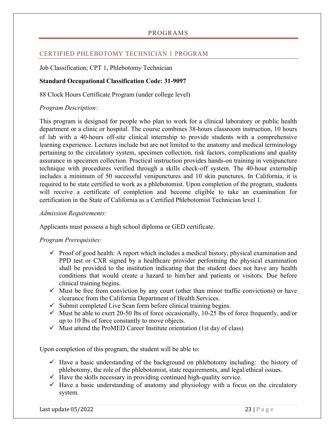#### PROGRAMS

#### CERTIFIED PHLEBOTOMY TECHNICIAN 1 PROGRAM

Job Classification; CPT 1, Phlebotomy Technician

#### **Standard Occupational Classification Code: 31-9097**

88 Clock Hours Certificate Program (under college level)

#### *Program Description:*

This program is designed for people who plan to work for a clinical laboratory or public health department or a clinic or hospital. The course combines 38-hours classroom instruction, 10 hours of lab with a 40-hours off-site clinical internship to provide students with a comprehensive learning experience. Lectures include but are not limited to the anatomy and medical terminology pertaining to the circulatory system, specimen collection, risk factors, complications and quality assurance in specimen collection. Practical instruction provides hands-on training in venipuncture technique with procedures verified through a skills check-off system. The 40-hour externship includes a minimum of 50 successful venipunctures and 10 skin punctures. In California, it is required to be state certified to work as a phlebotomist. Upon completion of the program, students will receive a certificate of completion and become eligible to take an examination for certification in the State of California as a Certified Phlebotomist Technician level 1.

#### *Admission Requirements:*

Applicants must possess a high school diploma or GED certificate.

#### *Program Prerequisites:*

- $\checkmark$  Proof of good health: A report which includes a medical history, physical examination and PPD test or CXR signed by a healthcare provider performing the physical examination shall be provided to the institution indicating that the student does not have any health conditions that would create a hazard to him/her and patients or visitors. Due before clinical training begins.
- $\checkmark$  Must be free from conviction by any court (other than minor traffic convictions) or have clearance from the California Department of Health Services.
- $\checkmark$  Submit completed Live Scan form before clinical training begins.
- $\checkmark$  Must be able to exert 20-50 lbs of force occasionally, 10-25 lbs of force frequently, and/or up to 10 lbs of force constantly to move objects.
- $\checkmark$  Must attend the ProMED Career Institute orientation (1st day of class)

Upon completion of this program, the student will be able to:

- $\checkmark$  Have a basic understanding of the background on phlebotomy including: the history of phlebotomy, the role of the phlebotomist, state requirements, and legal/ethical issues.
- $\checkmark$  Have the skills necessary in providing continued high-quality service.
- $\checkmark$  Have a basic understanding of anatomy and physiology with a focus on the circulatory system.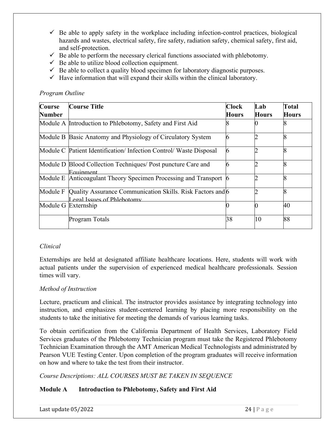- $\checkmark$  Be able to apply safety in the workplace including infection-control practices, biological hazards and wastes, electrical safety, fire safety, radiation safety, chemical safety, first aid, and self-protection.
- $\checkmark$  Be able to perform the necessary clerical functions associated with phlebotomy.
- $\checkmark$  Be able to utilize blood collection equipment.
- $\checkmark$  Be able to collect a quality blood specimen for laboratory diagnostic purposes.
- $\checkmark$  Have information that will expand their skills within the clinical laboratory.

#### *Program Outline*

| <b>Course</b> | <b>Course Title</b>                                                                     | <b>Clock</b> | Lab          | Total        |
|---------------|-----------------------------------------------------------------------------------------|--------------|--------------|--------------|
| <b>Number</b> |                                                                                         | <b>Hours</b> | <b>Hours</b> | <b>Hours</b> |
|               | Module A Introduction to Phlebotomy, Safety and First Aid                               |              |              |              |
|               | Module B Basic Anatomy and Physiology of Circulatory System                             | 6            |              | O            |
|               | Module C Patient Identification/Infection Control/Waste Disposal                        | 6            |              | O            |
|               | Module D Blood Collection Techniques/ Post puncture Care and<br>Equipment               | 6            |              | О            |
|               | Module E Anticoagulant Theory Specimen Processing and Transport 6                       |              |              | O            |
| Module F      | Quality Assurance Communication Skills. Risk Factors and 6<br>egal Issues of Phlebotomy |              |              | Q            |
|               | Module G Externship                                                                     |              |              | 40           |
|               | Program Totals                                                                          | 38           | 10           | 88           |

#### *Clinical*

Externships are held at designated affiliate healthcare locations. Here, students will work with actual patients under the supervision of experienced medical healthcare professionals. Session times will vary.

#### *Method of Instruction*

Lecture, practicum and clinical. The instructor provides assistance by integrating technology into instruction, and emphasizes student-centered learning by placing more responsibility on the students to take the initiative for meeting the demands of various learning tasks.

To obtain certification from the California Department of Health Services, Laboratory Field Services graduates of the Phlebotomy Technician program must take the Registered Phlebotomy Technician Examination through the AMT American Medical Technologists and administrated by Pearson VUE Testing Center. Upon completion of the program graduates will receive information on how and where to take the test from their instructor.

*Course Descriptions: ALL COURSES MUST BE TAKEN IN SEQUENCE*

#### **Module A Introduction to Phlebotomy, Safety and First Aid**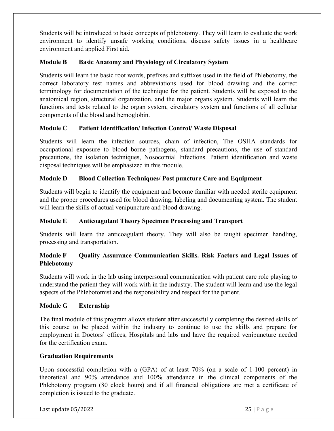Students will be introduced to basic concepts of phlebotomy. They will learn to evaluate the work environment to identify unsafe working conditions, discuss safety issues in a healthcare environment and applied First aid.

#### **Module B Basic Anatomy and Physiology of Circulatory System**

Students will learn the basic root words, prefixes and suffixes used in the field of Phlebotomy, the correct laboratory test names and abbreviations used for blood drawing and the correct terminology for documentation of the technique for the patient. Students will be exposed to the anatomical region, structural organization, and the major organs system. Students will learn the functions and tests related to the organ system, circulatory system and functions of all cellular components of the blood and hemoglobin.

#### **Module C Patient Identification/ Infection Control/ Waste Disposal**

Students will learn the infection sources, chain of infection, The OSHA standards for occupational exposure to blood borne pathogens, standard precautions, the use of standard precautions, the isolation techniques, Nosocomial Infections. Patient identification and waste disposal techniques will be emphasized in this module.

#### **Module D Blood Collection Techniques/ Post puncture Care and Equipment**

Students will begin to identify the equipment and become familiar with needed sterile equipment and the proper procedures used for blood drawing, labeling and documenting system. The student will learn the skills of actual venipuncture and blood drawing.

#### **Module E Anticoagulant Theory Specimen Processing and Transport**

Students will learn the anticoagulant theory. They will also be taught specimen handling, processing and transportation.

#### **Module F Quality Assurance Communication Skills. Risk Factors and Legal Issues of Phlebotomy**

Students will work in the lab using interpersonal communication with patient care role playing to understand the patient they will work with in the industry. The student will learn and use the legal aspects of the Phlebotomist and the responsibility and respect for the patient.

#### **Module G Externship**

The final module of this program allows student after successfully completing the desired skills of this course to be placed within the industry to continue to use the skills and prepare for employment in Doctors' offices, Hospitals and labs and have the required venipuncture needed for the certification exam.

#### **Graduation Requirements**

Upon successful completion with a (GPA) of at least 70% (on a scale of 1-100 percent) in theoretical and 90% attendance and 100% attendance in the clinical components of the Phlebotomy program (80 clock hours) and if all financial obligations are met a certificate of completion is issued to the graduate.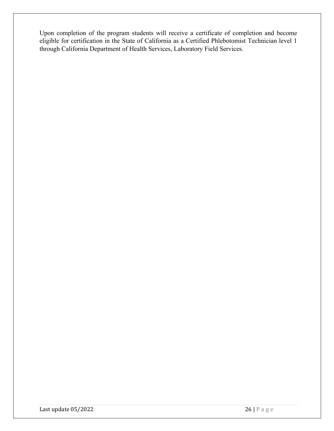Upon completion of the program students will receive a certificate of completion and become eligible for certification in the State of California as a Certified Phlebotomist Technician level 1 through California Department of Health Services, Laboratory Field Services.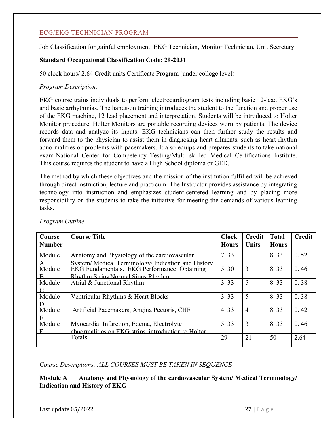#### ECG/EKG TECHNICIAN PROGRAM

Job Classification for gainful employment: EKG Technician, Monitor Technician, Unit Secretary

#### **Standard Occupational Classification Code: 29-2031**

50 clock hours/ 2.64 Credit units Certificate Program (under college level)

#### *Program Description:*

EKG course trains individuals to perform electrocardiogram tests including basic 12-lead EKG's and basic arrhythmias. The hands-on training introduces the student to the function and proper use of the EKG machine, 12 lead placement and interpretation. Students will be introduced to Holter Monitor procedure. Holter Monitors are portable recording devices worn by patients. The device records data and analyze its inputs. EKG technicians can then further study the results and forward them to the physician to assist them in diagnosing heart ailments, such as heart rhythm abnormalities or problems with pacemakers. It also equips and prepares students to take national exam-National Center for Competency Testing/Multi skilled Medical Certifications Institute. This course requires the student to have a High School diploma or GED.

The method by which these objectives and the mission of the institution fulfilled will be achieved through direct instruction, lecture and practicum. The Instructor provides assistance by integrating technology into instruction and emphasizes student-centered learning and by placing more responsibility on the students to take the initiative for meeting the demands of various learning tasks.

| Course<br><b>Number</b> | <b>Course Title</b>                                                                                 | <b>Clock</b><br><b>Hours</b> | <b>Credit</b><br><b>Units</b> | <b>Total</b><br><b>Hours</b> | <b>Credit</b> |
|-------------------------|-----------------------------------------------------------------------------------------------------|------------------------------|-------------------------------|------------------------------|---------------|
| Module                  | Anatomy and Physiology of the cardiovascular<br>System/ Medical Terminology/ Indication and History | 7.33                         |                               | 8.33                         | 0.52          |
| Module<br>$\mathbf{R}$  | EKG Fundamentals. EKG Performance: Obtaining<br>Rhythm Strins Normal Sinus Rhythm                   | 5.30                         | $\overline{3}$                | 8.33                         | 0.46          |
| Module                  | Atrial & Junctional Rhythm                                                                          | 3.33                         | 5                             | 8.33                         | 0.38          |
| Module<br>D             | Ventricular Rhythms & Heart Blocks                                                                  | 3.33                         | 5                             | 8.33                         | 0.38          |
| Module<br>$\mathbf{E}$  | Artificial Pacemakers, Angina Pectoris, CHF                                                         | 4.33                         | $\overline{4}$                | 8.33                         | 0.42          |
| Module<br>F             | Myocardial Infarction, Edema, Electrolyte<br>abnormalities on EKG strins, introduction to Holter    | 5.33                         | 3                             | 8.33                         | 0.46          |
|                         | Totals                                                                                              | 29                           | 21                            | 50                           | 2.64          |

*Program Outline* 

#### *Course Descriptions: ALL COURSES MUST BE TAKEN IN SEQUENCE*

**Module A Anatomy and Physiology of the cardiovascular System/ Medical Terminology/ Indication and History of EKG**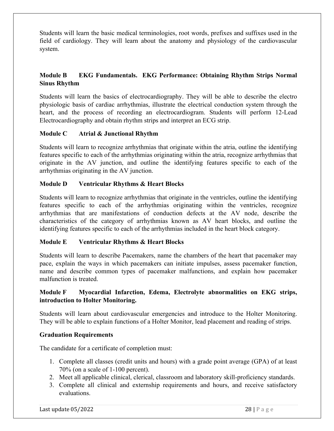Students will learn the basic medical terminologies, root words, prefixes and suffixes used in the field of cardiology. They will learn about the anatomy and physiology of the cardiovascular system.

#### **Module B EKG Fundamentals. EKG Performance: Obtaining Rhythm Strips Normal Sinus Rhythm**

Students will learn the basics of electrocardiography. They will be able to describe the electro physiologic basis of cardiac arrhythmias, illustrate the electrical conduction system through the heart, and the process of recording an electrocardiogram. Students will perform 12-Lead Electrocardiography and obtain rhythm strips and interpret an ECG strip.

#### **Module C Atrial & Junctional Rhythm**

Students will learn to recognize arrhythmias that originate within the atria, outline the identifying features specific to each of the arrhythmias originating within the atria, recognize arrhythmias that originate in the AV junction, and outline the identifying features specific to each of the arrhythmias originating in the AV junction.

#### **Module D Ventricular Rhythms & Heart Blocks**

Students will learn to recognize arrhythmias that originate in the ventricles, outline the identifying features specific to each of the arrhythmias originating within the ventricles, recognize arrhythmias that are manifestations of conduction defects at the AV node, describe the characteristics of the category of arrhythmias known as AV heart blocks, and outline the identifying features specific to each of the arrhythmias included in the heart block category.

#### **Module E Ventricular Rhythms & Heart Blocks**

Students will learn to describe Pacemakers, name the chambers of the heart that pacemaker may pace, explain the ways in which pacemakers can initiate impulses, assess pacemaker function, name and describe common types of pacemaker malfunctions, and explain how pacemaker malfunction is treated.

#### **Module F Myocardial Infarction, Edema, Electrolyte abnormalities on EKG strips, introduction to Holter Monitoring.**

Students will learn about cardiovascular emergencies and introduce to the Holter Monitoring. They will be able to explain functions of a Holter Monitor, lead placement and reading of strips.

#### **Graduation Requirements**

The candidate for a certificate of completion must:

- 1. Complete all classes (credit units and hours) with a grade point average (GPA) of at least 70% (on a scale of 1-100 percent).
- 2. Meet all applicable clinical, clerical, classroom and laboratory skill-proficiency standards.
- 3. Complete all clinical and externship requirements and hours, and receive satisfactory evaluations.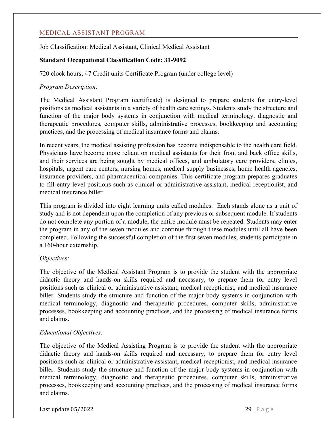#### MEDICAL ASSISTANT PROGRAM

Job Classification: Medical Assistant, Clinical Medical Assistant

#### **Standard Occupational Classification Code: 31-9092**

720 clock hours; 47 Credit units Certificate Program (under college level)

#### *Program Description:*

The Medical Assistant Program (certificate) is designed to prepare students for entry-level positions as medical assistants in a variety of health care settings. Students study the structure and function of the major body systems in conjunction with medical terminology, diagnostic and therapeutic procedures, computer skills, administrative processes, bookkeeping and accounting practices, and the processing of medical insurance forms and claims.

In recent years, the medical assisting profession has become indispensable to the health care field. Physicians have become more reliant on medical assistants for their front and back office skills, and their services are being sought by medical offices, and ambulatory care providers, clinics, hospitals, urgent care centers, nursing homes, medical supply businesses, home health agencies, insurance providers, and pharmaceutical companies. This certificate program prepares graduates to fill entry-level positions such as clinical or administrative assistant, medical receptionist, and medical insurance biller.

This program is divided into eight learning units called modules. Each stands alone as a unit of study and is not dependent upon the completion of any previous or subsequent module. If students do not complete any portion of a module, the entire module must be repeated. Students may enter the program in any of the seven modules and continue through these modules until all have been completed. Following the successful completion of the first seven modules, students participate in a 160-hour externship.

#### *Objectives:*

The objective of the Medical Assistant Program is to provide the student with the appropriate didactic theory and hands-on skills required and necessary, to prepare them for entry level positions such as clinical or administrative assistant, medical receptionist, and medical insurance biller. Students study the structure and function of the major body systems in conjunction with medical terminology, diagnostic and therapeutic procedures, computer skills, administrative processes, bookkeeping and accounting practices, and the processing of medical insurance forms and claims.

#### *Educational Objectives:*

The objective of the Medical Assisting Program is to provide the student with the appropriate didactic theory and hands-on skills required and necessary, to prepare them for entry level positions such as clinical or administrative assistant, medical receptionist, and medical insurance biller. Students study the structure and function of the major body systems in conjunction with medical terminology, diagnostic and therapeutic procedures, computer skills, administrative processes, bookkeeping and accounting practices, and the processing of medical insurance forms and claims.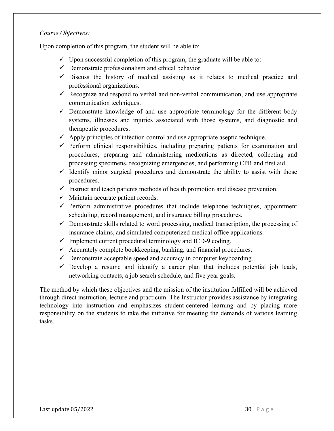#### *Course Objectives:*

Upon completion of this program, the student will be able to:

- $\checkmark$  Upon successful completion of this program, the graduate will be able to:
- $\checkmark$  Demonstrate professionalism and ethical behavior.
- $\checkmark$  Discuss the history of medical assisting as it relates to medical practice and professional organizations.
- $\checkmark$  Recognize and respond to verbal and non-verbal communication, and use appropriate communication techniques.
- $\checkmark$  Demonstrate knowledge of and use appropriate terminology for the different body systems, illnesses and injuries associated with those systems, and diagnostic and therapeutic procedures.
- $\checkmark$  Apply principles of infection control and use appropriate aseptic technique.
- $\checkmark$  Perform clinical responsibilities, including preparing patients for examination and procedures, preparing and administering medications as directed, collecting and processing specimens, recognizing emergencies, and performing CPR and first aid.
- $\checkmark$  Identify minor surgical procedures and demonstrate the ability to assist with those procedures.
- $\checkmark$  Instruct and teach patients methods of health promotion and disease prevention.
- $\checkmark$  Maintain accurate patient records.
- $\checkmark$  Perform administrative procedures that include telephone techniques, appointment scheduling, record management, and insurance billing procedures.
- $\checkmark$  Demonstrate skills related to word processing, medical transcription, the processing of insurance claims, and simulated computerized medical office applications.
- $\checkmark$  Implement current procedural terminology and ICD-9 coding.
- $\checkmark$  Accurately complete bookkeeping, banking, and financial procedures.
- $\checkmark$  Demonstrate acceptable speed and accuracy in computer keyboarding.
- $\checkmark$  Develop a resume and identify a career plan that includes potential job leads, networking contacts, a job search schedule, and five year goals.

The method by which these objectives and the mission of the institution fulfilled will be achieved through direct instruction, lecture and practicum. The Instructor provides assistance by integrating technology into instruction and emphasizes student-centered learning and by placing more responsibility on the students to take the initiative for meeting the demands of various learning tasks.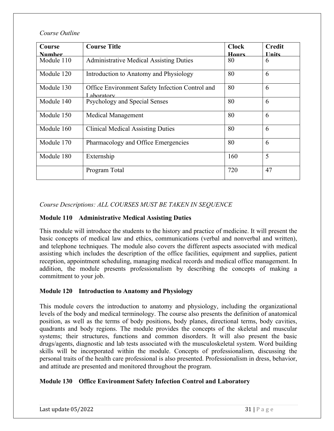*Course Outline* 

| Course        | <b>Course Title</b>                                          | <b>Clock</b> | <b>Credit</b> |
|---------------|--------------------------------------------------------------|--------------|---------------|
| <u>Number</u> |                                                              | <b>Hours</b> | <b>Units</b>  |
| Module 110    | <b>Administrative Medical Assisting Duties</b>               | 80           | 6             |
| Module 120    | Introduction to Anatomy and Physiology                       | 80           | 6             |
| Module 130    | Office Environment Safety Infection Control and<br>aboratory | 80           | 6             |
| Module 140    | Psychology and Special Senses                                | 80           | 6             |
| Module 150    | <b>Medical Management</b>                                    | 80           | 6             |
| Module 160    | <b>Clinical Medical Assisting Duties</b>                     | 80           | 6             |
| Module 170    | Pharmacology and Office Emergencies                          | 80           | 6             |
| Module 180    | Externship                                                   | 160          | 5             |
|               | Program Total                                                | 720          | 47            |

*Course Descriptions: ALL COURSES MUST BE TAKEN IN SEQUENCE*

#### **Module 110 Administrative Medical Assisting Duties**

This module will introduce the students to the history and practice of medicine. It will present the basic concepts of medical law and ethics, communications (verbal and nonverbal and written), and telephone techniques. The module also covers the different aspects associated with medical assisting which includes the description of the office facilities, equipment and supplies, patient reception, appointment scheduling, managing medical records and medical office management. In addition, the module presents professionalism by describing the concepts of making a commitment to your job.

#### **Module 120 Introduction to Anatomy and Physiology**

This module covers the introduction to anatomy and physiology, including the organizational levels of the body and medical terminology. The course also presents the definition of anatomical position, as well as the terms of body positions, body planes, directional terms, body cavities, quadrants and body regions. The module provides the concepts of the skeletal and muscular systems; their structures, functions and common disorders. It will also present the basic drugs/agents, diagnostic and lab tests associated with the musculoskeletal system. Word building skills will be incorporated within the module. Concepts of professionalism, discussing the personal traits of the health care professional is also presented. Professionalism in dress, behavior, and attitude are presented and monitored throughout the program.

#### **Module 130 Office Environment Safety Infection Control and Laboratory**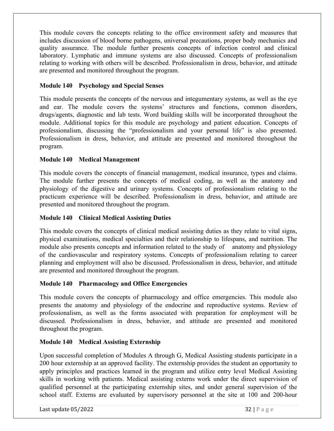This module covers the concepts relating to the office environment safety and measures that includes discussion of blood borne pathogens, universal precautions, proper body mechanics and quality assurance. The module further presents concepts of infection control and clinical laboratory. Lymphatic and immune systems are also discussed. Concepts of professionalism relating to working with others will be described. Professionalism in dress, behavior, and attitude are presented and monitored throughout the program.

#### **Module 140 Psychology and Special Senses**

This module presents the concepts of the nervous and integumentary systems, as well as the eye and ear. The module covers the systems' structures and functions, common disorders, drugs/agents, diagnostic and lab tests. Word building skills will be incorporated throughout the module. Additional topics for this module are psychology and patient education. Concepts of professionalism, discussing the "professionalism and your personal life" is also presented. Professionalism in dress, behavior, and attitude are presented and monitored throughout the program.

#### **Module 140 Medical Management**

This module covers the concepts of financial management, medical insurance, types and claims. The module further presents the concepts of medical coding, as well as the anatomy and physiology of the digestive and urinary systems. Concepts of professionalism relating to the practicum experience will be described. Professionalism in dress, behavior, and attitude are presented and monitored throughout the program.

#### **Module 140 Clinical Medical Assisting Duties**

This module covers the concepts of clinical medical assisting duties as they relate to vital signs, physical examinations, medical specialties and their relationship to lifespans, and nutrition. The module also presents concepts and information related to the study of anatomy and physiology of the cardiovascular and respiratory systems. Concepts of professionalism relating to career planning and employment will also be discussed. Professionalism in dress, behavior, and attitude are presented and monitored throughout the program.

#### **Module 140 Pharmacology and Office Emergencies**

This module covers the concepts of pharmacology and office emergencies. This module also presents the anatomy and physiology of the endocrine and reproductive systems. Review of professionalism, as well as the forms associated with preparation for employment will be discussed. Professionalism in dress, behavior, and attitude are presented and monitored throughout the program.

#### **Module 140 Medical Assisting Externship**

Upon successful completion of Modules A through G, Medical Assisting students participate in a 200 hour externship at an approved facility. The externship provides the student an opportunity to apply principles and practices learned in the program and utilize entry level Medical Assisting skills in working with patients. Medical assisting externs work under the direct supervision of qualified personnel at the participating externship sites, and under general supervision of the school staff. Externs are evaluated by supervisory personnel at the site at 100 and 200-hour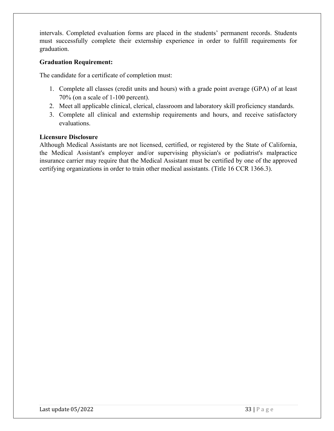intervals. Completed evaluation forms are placed in the students' permanent records. Students must successfully complete their externship experience in order to fulfill requirements for graduation.

#### **Graduation Requirement:**

The candidate for a certificate of completion must:

- 1. Complete all classes (credit units and hours) with a grade point average (GPA) of at least 70% (on a scale of 1-100 percent).
- 2. Meet all applicable clinical, clerical, classroom and laboratory skill proficiency standards.
- 3. Complete all clinical and externship requirements and hours, and receive satisfactory evaluations.

#### **Licensure Disclosure**

Although Medical Assistants are not licensed, certified, or registered by the State of California, the Medical Assistant's employer and/or supervising physician's or podiatrist's malpractice insurance carrier may require that the Medical Assistant must be certified by one of the approved certifying organizations in order to train other medical assistants. (Title 16 CCR 1366.3).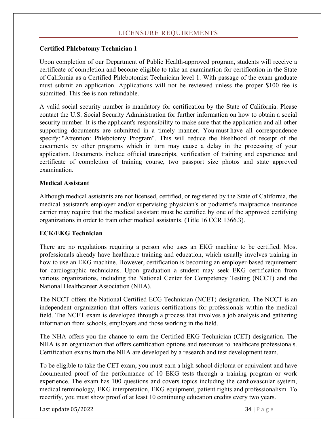#### LICENSURE REQUIREMENTS

#### **Certified Phlebotomy Technician 1**

Upon completion of our Department of Public Health-approved program, students will receive a certificate of completion and become eligible to take an examination for certification in the State of California as a Certified Phlebotomist Technician level 1. With passage of the exam graduate must submit an application. Applications will not be reviewed unless the proper \$100 fee is submitted. This fee is non-refundable.

A valid social security number is mandatory for certification by the State of California. Please contact the U.S. Social Security Administration for further information on how to obtain a social security number. It is the applicant's responsibility to make sure that the application and all other supporting documents are submitted in a timely manner. You must have all correspondence specify: "Attention: Phlebotomy Program". This will reduce the likelihood of receipt of the documents by other programs which in turn may cause a delay in the processing of your application. Documents include official transcripts, verification of training and experience and certificate of completion of training course, two passport size photos and state approved examination.

#### **Medical Assistant**

Although medical assistants are not licensed, certified, or registered by the State of California, the medical assistant's employer and/or supervising physician's or podiatrist's malpractice insurance carrier may require that the medical assistant must be certified by one of the approved certifying organizations in order to train other medical assistants. (Title 16 CCR 1366.3).

#### **ECK/EKG Technician**

There are no regulations requiring a person who uses an EKG machine to be certified. Most professionals already have healthcare training and education, which usually involves training in how to use an EKG machine. However, certification is becoming an employer-based requirement for cardiographic technicians. Upon graduation a student may seek EKG certification from various organizations, including the National Center for Competency Testing (NCCT) and the National Healthcareer Association (NHA).

The NCCT offers the National Certified ECG Technician (NCET) designation. The NCCT is an independent organization that offers various certifications for professionals within the medical field. The NCET exam is developed through a process that involves a job analysis and gathering information from schools, employers and those working in the field.

The NHA offers you the chance to earn the Certified EKG Technician (CET) designation. The NHA is an organization that offers certification options and resources to healthcare professionals. Certification exams from the NHA are developed by a research and test development team.

To be eligible to take the CET exam, you must earn a high school diploma or equivalent and have documented proof of the performance of 10 EKG tests through a training program or work experience. The exam has 100 questions and covers topics including the cardiovascular system, medical terminology, EKG interpretation, EKG equipment, patient rights and professionalism. To recertify, you must show proof of at least 10 continuing education credits every two years.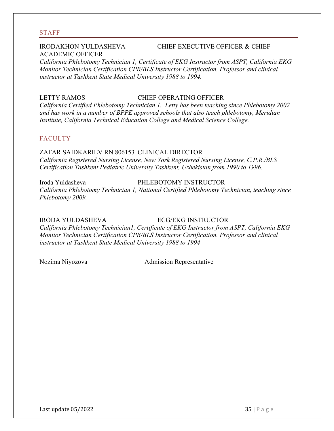#### STAFF

## ACADEMIC OFFICER

#### IRODAKHON YULDASHEVA CHIEF EXECUTIVE OFFICER & CHIEF

*California Phlebotomy Technician 1, Certificate of EKG Instructor from ASPT, California EKG Monitor Technician Certification CPR/BLS Instructor Certification. Professor and clinical instructor at Tashkent State Medical University 1988 to 1994.*

#### LETTY RAMOS CHIEF OPERATING OFFICER

*California Certified Phlebotomy Technician 1. Letty has been teaching since Phlebotomy 2002 and has work in a number of BPPE approved schools that also teach phlebotomy, Meridian Institute, California Technical Education College and Medical Science College.*

#### FACULTY

ZAFAR SAIDKARIEV RN 806153 CLINICAL DIRECTOR *California Registered Nursing License, New York Registered Nursing License, C.P.R./BLS Certification Tashkent Pediatric University Tashkent, Uzbekistan from 1990 to 1996.*

Iroda Yuldasheva PHLEBOTOMY INSTRUCTOR *California Phlebotomy Technician 1, National Certified Phlebotomy Technician, teaching since Phlebotomy 2009.*

IRODA YULDASHEVA ECG/EKG INSTRUCTOR

*California Phlebotomy Technician1, Certificate of EKG Instructor from ASPT, California EKG Monitor Technician Certification CPR/BLS Instructor Certification. Professor and clinical instructor at Tashkent State Medical University 1988 to 1994*

Nozima Niyozova Admission Representative